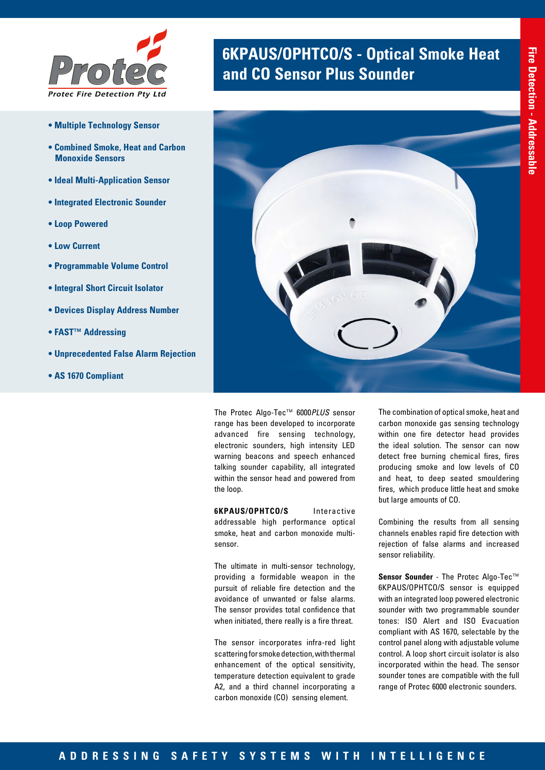

- **Multiple Technology Sensor**
- **Combined Smoke, Heat and Carbon Monoxide Sensors**
- **Ideal Multi-Application Sensor**
- **Integrated Electronic Sounder**
- **Loop Powered**
- **Low Current**
- **Programmable Volume Control**
- **Integral Short Circuit Isolator**
- **Devices Display Address Number**
- **FAST™ Addressing**
- **Unprecedented False Alarm Rejection**
- **AS 1670 Compliant**

# **6KPAUS/OPHTCO/S - Optical Smoke Heat <br>and CO Sensor Plus Sounder**



The Protec Algo-Tec™ 6000*PLUS* sensor range has been developed to incorporate advanced fire sensing technology, electronic sounders, high intensity LED warning beacons and speech enhanced talking sounder capability, all integrated within the sensor head and powered from the loop.

**6KPAUS/OPHTCO/S** Interactive addressable high performance optical smoke, heat and carbon monoxide multisensor.

The ultimate in multi-sensor technology, providing a formidable weapon in the pursuit of reliable fire detection and the avoidance of unwanted or false alarms. The sensor provides total confidence that when initiated, there really is a fire threat.

The sensor incorporates infra-red light scattering for smoke detection, with thermal enhancement of the optical sensitivity, temperature detection equivalent to grade A2, and a third channel incorporating a carbon monoxide (CO) sensing element.

The combination of optical smoke, heat and carbon monoxide gas sensing technology within one fire detector head provides the ideal solution. The sensor can now detect free burning chemical fires, fires producing smoke and low levels of CO and heat, to deep seated smouldering fires, which produce little heat and smoke but large amounts of CO.

Combining the results from all sensing channels enables rapid fire detection with rejection of false alarms and increased sensor reliability.

**Sensor Sounder** - The Protec Algo-Tec™ 6KPAUS/OPHTCO/S sensor is equipped with an integrated loop powered electronic sounder with two programmable sounder tones: ISO Alert and ISO Evacuation compliant with AS 1670, selectable by the control panel along with adjustable volume control. A loop short circuit isolator is also incorporated within the head. The sensor sounder tones are compatible with the full range of Protec 6000 electronic sounders.